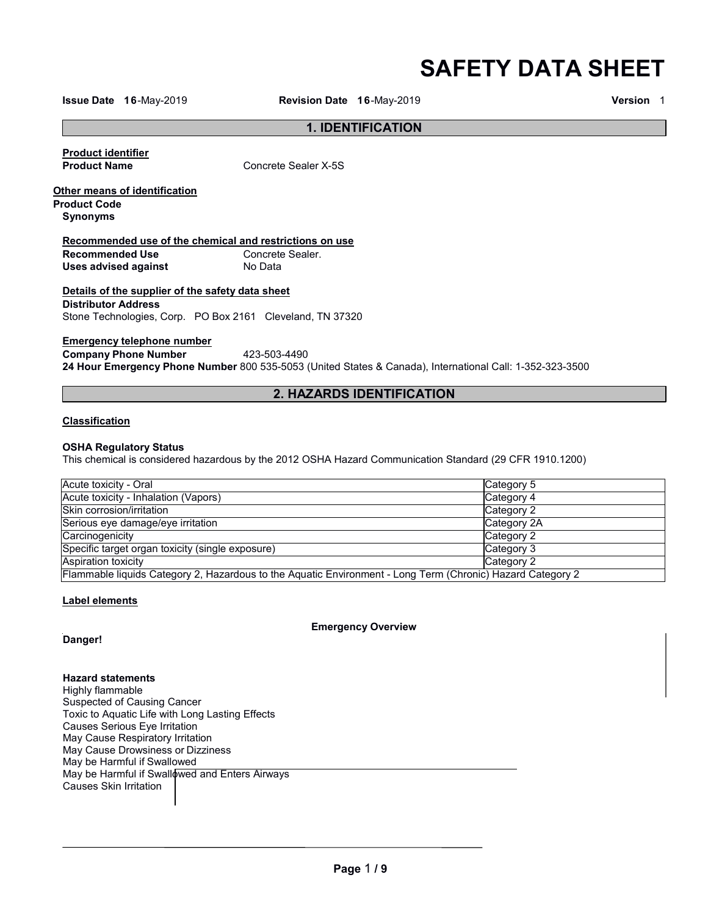**SAFETY DATA SHEET**

**Issue Date 16**-May-2019 **Revision Date 16**-May-2019 **Version** 1

### **1. IDENTIFICATION**

**Product identifier** 

**Concrete Sealer X-5S** 

**Other means of identification Product Code**

**Synonyms**

# **Recommended use of the chemical and restrictions on use**

**Recommended Use Concrete**<br> **Uses advised against No Data Uses advised against** 

# **Details of the supplier of the safety data sheet Distributor Address**

Stone Technologies, Corp. PO Box 2161 Cleveland, TN 37320

# **Emergency telephone number**

**Company Phone Number** 423-503-4490 **24 Hour Emergency Phone Number** 800 535-5053 (United States & Canada), International Call: 1-352-323-3500

# **2. HAZARDS IDENTIFICATION**

### **Classification**

### **OSHA Regulatory Status**

This chemical is considered hazardous by the 2012 OSHA Hazard Communication Standard (29 CFR 1910.1200)

| <b>Acute toxicity - Oral</b>                                                                               | Category 5  |
|------------------------------------------------------------------------------------------------------------|-------------|
| Acute toxicity - Inhalation (Vapors)                                                                       | Category 4  |
| Skin corrosion/irritation                                                                                  | Category 2  |
| Serious eye damage/eye irritation                                                                          | Category 2A |
| Carcinogenicity                                                                                            | Category 2  |
| Specific target organ toxicity (single exposure)                                                           | Category 3  |
| Aspiration toxicity                                                                                        | Category 2  |
| Flammable liquids Category 2, Hazardous to the Aquatic Environment - Long Term (Chronic) Hazard Category 2 |             |

# **Label elements**

**Emergency Overview**

**Danger!**

**Hazard statements** Highly flammable Suspected of Causing Cancer Toxic to Aquatic Life with Long Lasting Effects Causes Serious Eye Irritation May Cause Respiratory Irritation May Cause Drowsiness or Dizziness May be Harmful if Swallowed May be Harmful if Swallowed and Enters Airways Causes Skin Irritation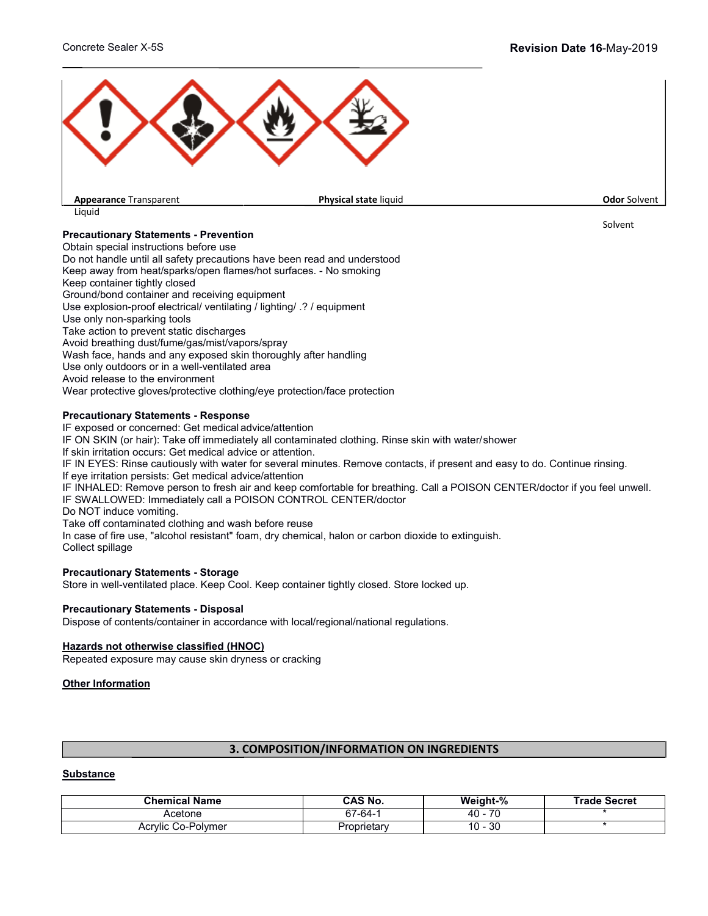

# **Precautionary Statements - Prevention**

Obtain special instructions before use Do not handle until all safety precautions have been read and understood Keep away from heat/sparks/open flames/hot surfaces. - No smoking Keep container tightly closed Ground/bond container and receiving equipment Use explosion-proof electrical/ ventilating / lighting/ .? / equipment Use only non-sparking tools Take action to prevent static discharges Avoid breathing dust/fume/gas/mist/vapors/spray Wash face, hands and any exposed skin thoroughly after handling Use only outdoors or in a well-ventilated area Avoid release to the environment Wear protective gloves/protective clothing/eye protection/face protection

### **Precautionary Statements - Response**

IF exposed or concerned: Get medical advice/attention IF ON SKIN (or hair): Take off immediately all contaminated clothing. Rinse skin with water/shower If skin irritation occurs: Get medical advice or attention. IF IN EYES: Rinse cautiously with water for several minutes. Remove contacts, if present and easy to do. Continue rinsing. If eye irritation persists: Get medical advice/attention IF INHALED: Remove person to fresh air and keep comfortable for breathing. Call a POISON CENTER/doctor if you feel unwell. IF SWALLOWED: Immediately call a POISON CONTROL CENTER/doctor Do NOT induce vomiting. Take off contaminated clothing and wash before reuse In case of fire use, "alcohol resistant" foam, dry chemical, halon or carbon dioxide to extinguish. Collect spillage

#### **Precautionary Statements - Storage**

Store in well-ventilated place. Keep Cool. Keep container tightly closed. Store locked up.

# **Precautionary Statements - Disposal**

Dispose of contents/container in accordance with local/regional/national regulations.

#### **Hazards not otherwise classified (HNOC)**

Repeated exposure may cause skin dryness or cracking

#### **Other Information**

# **3. COMPOSITION/INFORMATION ON INGREDIENTS**

#### **Substance**

| <b>Chemical Name</b> | CAS No.     | Weight-%         | Trade Secret |
|----------------------|-------------|------------------|--------------|
| Acetone              | $57-64-$    | 70<br>40<br>΄ Ο  |              |
| Acrylic Co-Polymer   | Proprietary | or<br>10 -<br>υc |              |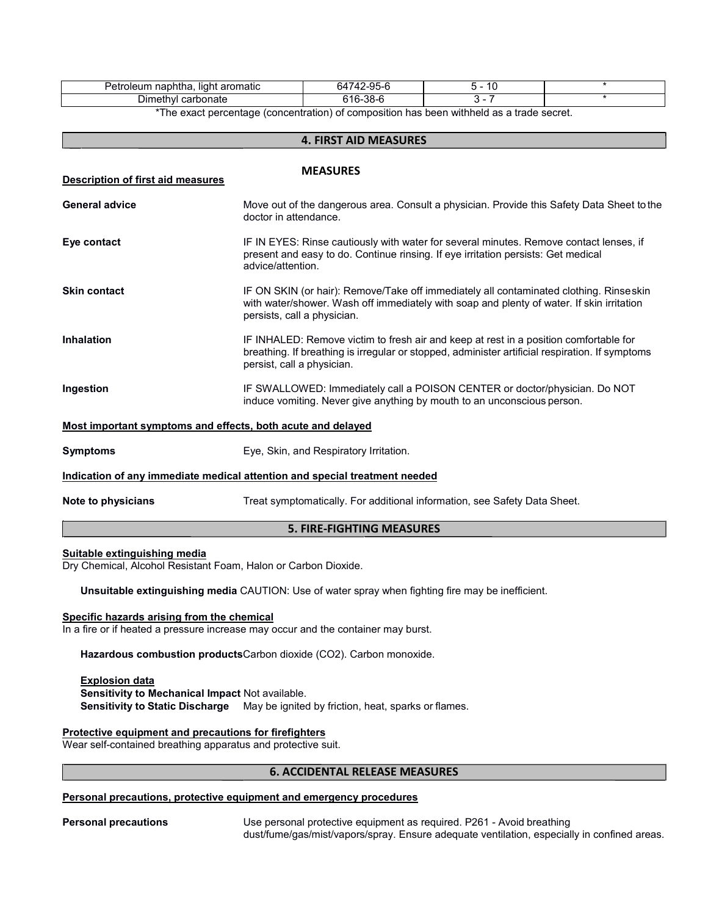| .<br>. .<br>naphtha<br>eum<br>aromatic<br>. liaht<br>Peti<br>ule". | ⊐0۔ ⁄<br>$\sim$ $\sim$<br>'nΔ<br>, , ,<br>--<br>- | . .<br>$\sim$ |  |
|--------------------------------------------------------------------|---------------------------------------------------|---------------|--|
| ∟umeth<br>carbonate<br>ישנ                                         | ה ה<br>.                                          |               |  |

**4. FIRST AID MEASURES** \*The exact percentage (concentration) of composition has been withheld as a trade secret.

| 4. FIRST AID MEASURES                                       |                                                                                                                                                                                                                        |  |
|-------------------------------------------------------------|------------------------------------------------------------------------------------------------------------------------------------------------------------------------------------------------------------------------|--|
| Description of first aid measures                           | <b>MEASURES</b>                                                                                                                                                                                                        |  |
| <b>General advice</b>                                       | Move out of the dangerous area. Consult a physician. Provide this Safety Data Sheet to the<br>doctor in attendance.                                                                                                    |  |
| Eye contact                                                 | IF IN EYES: Rinse cautiously with water for several minutes. Remove contact lenses, if<br>present and easy to do. Continue rinsing. If eye irritation persists: Get medical<br>advice/attention.                       |  |
| <b>Skin contact</b>                                         | IF ON SKIN (or hair): Remove/Take off immediately all contaminated clothing. Rinseskin<br>with water/shower. Wash off immediately with soap and plenty of water. If skin irritation<br>persists, call a physician.     |  |
| <b>Inhalation</b>                                           | IF INHALED: Remove victim to fresh air and keep at rest in a position comfortable for<br>breathing. If breathing is irregular or stopped, administer artificial respiration. If symptoms<br>persist, call a physician. |  |
| Ingestion                                                   | IF SWALLOWED: Immediately call a POISON CENTER or doctor/physician. Do NOT<br>induce vomiting. Never give anything by mouth to an unconscious person.                                                                  |  |
| Most important symptoms and effects, both acute and delayed |                                                                                                                                                                                                                        |  |
| <b>Symptoms</b>                                             | Eye, Skin, and Respiratory Irritation.                                                                                                                                                                                 |  |
|                                                             | Indication of any immediate medical attention and special treatment needed                                                                                                                                             |  |
| Note to physicians                                          | Treat symptomatically. For additional information, see Safety Data Sheet.                                                                                                                                              |  |

# **5. FIRE-FIGHTING MEASURES**

#### **Suitable extinguishing media**

Dry Chemical, Alcohol Resistant Foam, Halon or Carbon Dioxide.

**Unsuitable extinguishing media** CAUTION: Use of water spray when fighting fire may be inefficient.

### **Specific hazards arising from the chemical**

In a fire or if heated a pressure increase may occur and the container may burst.

**Hazardous combustion products**Carbon dioxide (CO2). Carbon monoxide.

#### **Explosion data**

**Sensitivity to Mechanical Impact** Not available. **Sensitivity to Static Discharge** May be ignited by friction, heat, sparks or flames.

#### **Protective equipment and precautions for firefighters**

Wear self-contained breathing apparatus and protective suit.

#### **6. ACCIDENTAL RELEASE MEASURES**

#### **Personal precautions, protective equipment and emergency procedures**

**Personal precautions** Use personal protective equipment as required. P261 - Avoid breathing dust/fume/gas/mist/vapors/spray. Ensure adequate ventilation, especially in confined areas.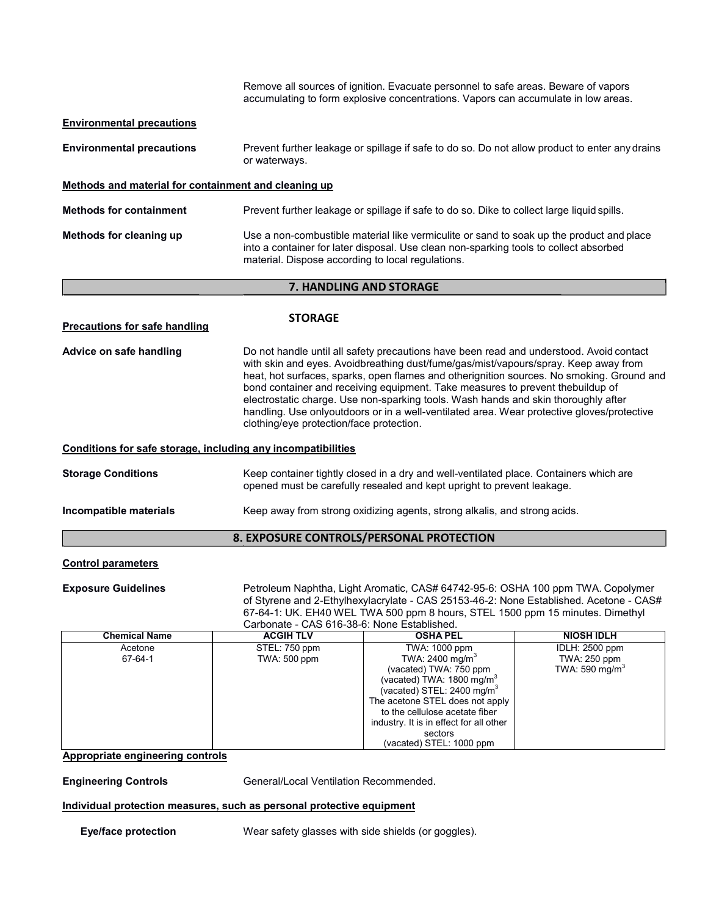|                                                              | Remove all sources of ignition. Evacuate personnel to safe areas. Beware of vapors<br>accumulating to form explosive concentrations. Vapors can accumulate in low areas.                                                                                                                                                                                                                                                                                                                                                                                                                      |
|--------------------------------------------------------------|-----------------------------------------------------------------------------------------------------------------------------------------------------------------------------------------------------------------------------------------------------------------------------------------------------------------------------------------------------------------------------------------------------------------------------------------------------------------------------------------------------------------------------------------------------------------------------------------------|
| <b>Environmental precautions</b>                             |                                                                                                                                                                                                                                                                                                                                                                                                                                                                                                                                                                                               |
| <b>Environmental precautions</b>                             | Prevent further leakage or spillage if safe to do so. Do not allow product to enter any drains<br>or waterways.                                                                                                                                                                                                                                                                                                                                                                                                                                                                               |
| Methods and material for containment and cleaning up         |                                                                                                                                                                                                                                                                                                                                                                                                                                                                                                                                                                                               |
| <b>Methods for containment</b>                               | Prevent further leakage or spillage if safe to do so. Dike to collect large liquid spills.                                                                                                                                                                                                                                                                                                                                                                                                                                                                                                    |
| Methods for cleaning up                                      | Use a non-combustible material like vermiculite or sand to soak up the product and place<br>into a container for later disposal. Use clean non-sparking tools to collect absorbed<br>material. Dispose according to local regulations.                                                                                                                                                                                                                                                                                                                                                        |
|                                                              | 7. HANDLING AND STORAGE                                                                                                                                                                                                                                                                                                                                                                                                                                                                                                                                                                       |
| <b>Precautions for safe handling</b>                         | <b>STORAGE</b>                                                                                                                                                                                                                                                                                                                                                                                                                                                                                                                                                                                |
| Advice on safe handling                                      | Do not handle until all safety precautions have been read and understood. Avoid contact<br>with skin and eyes. Avoidbreathing dust/fume/gas/mist/vapours/spray. Keep away from<br>heat, hot surfaces, sparks, open flames and otherignition sources. No smoking. Ground and<br>bond container and receiving equipment. Take measures to prevent thebuildup of<br>electrostatic charge. Use non-sparking tools. Wash hands and skin thoroughly after<br>handling. Use onlyoutdoors or in a well-ventilated area. Wear protective gloves/protective<br>clothing/eye protection/face protection. |
| Conditions for safe storage, including any incompatibilities |                                                                                                                                                                                                                                                                                                                                                                                                                                                                                                                                                                                               |
| <b>Storage Conditions</b>                                    | Keep container tightly closed in a dry and well-ventilated place. Containers which are<br>opened must be carefully resealed and kept upright to prevent leakage.                                                                                                                                                                                                                                                                                                                                                                                                                              |
| Incompatible materials                                       | Keep away from strong oxidizing agents, strong alkalis, and strong acids.                                                                                                                                                                                                                                                                                                                                                                                                                                                                                                                     |
|                                                              | 8. EXPOSURE CONTROLS/PERSONAL PROTECTION                                                                                                                                                                                                                                                                                                                                                                                                                                                                                                                                                      |
|                                                              |                                                                                                                                                                                                                                                                                                                                                                                                                                                                                                                                                                                               |

# **Control parameters**

**Exposure Guidelines** Petroleum Naphtha, Light Aromatic, CAS# 64742-95-6: OSHA 100 ppm TWA. Copolymer of Styrene and 2-Ethylhexylacrylate - CAS 25153-46-2: None Established. Acetone - CAS# 67-64-1: UK. EH40 WEL TWA 500 ppm 8 hours, STEL 1500 ppm 15 minutes. Dimethyl Carbonate - CAS 616-38-6: None Established.

| <b>Chemical Name</b> | <b>ACGIH TLV</b> | <b>OSHA PEL</b>                         | <b>NIOSH IDLH</b>          |
|----------------------|------------------|-----------------------------------------|----------------------------|
| Acetone              | STEL: 750 ppm    | TWA: 1000 ppm                           | <b>IDLH: 2500 ppm</b>      |
| 67-64-1              | TWA: 500 ppm     | TWA: 2400 mg/m <sup>3</sup>             | TWA: 250 ppm               |
|                      |                  | (vacated) TWA: 750 ppm                  | TWA: 590 mg/m <sup>3</sup> |
|                      |                  | (vacated) TWA: $1800 \text{ mg/m}^3$    |                            |
|                      |                  | (vacated) STEL: 2400 mg/m <sup>3</sup>  |                            |
|                      |                  | The acetone STEL does not apply         |                            |
|                      |                  | to the cellulose acetate fiber          |                            |
|                      |                  | industry. It is in effect for all other |                            |
|                      |                  | sectors                                 |                            |
|                      |                  | (vacated) STEL: 1000 ppm                |                            |

# **Appropriate engineering controls**

**Engineering Controls** General/Local Ventilation Recommended.

#### **Individual protection measures, such as personal protective equipment**

**Eye/face protection** Wear safety glasses with side shields (or goggles).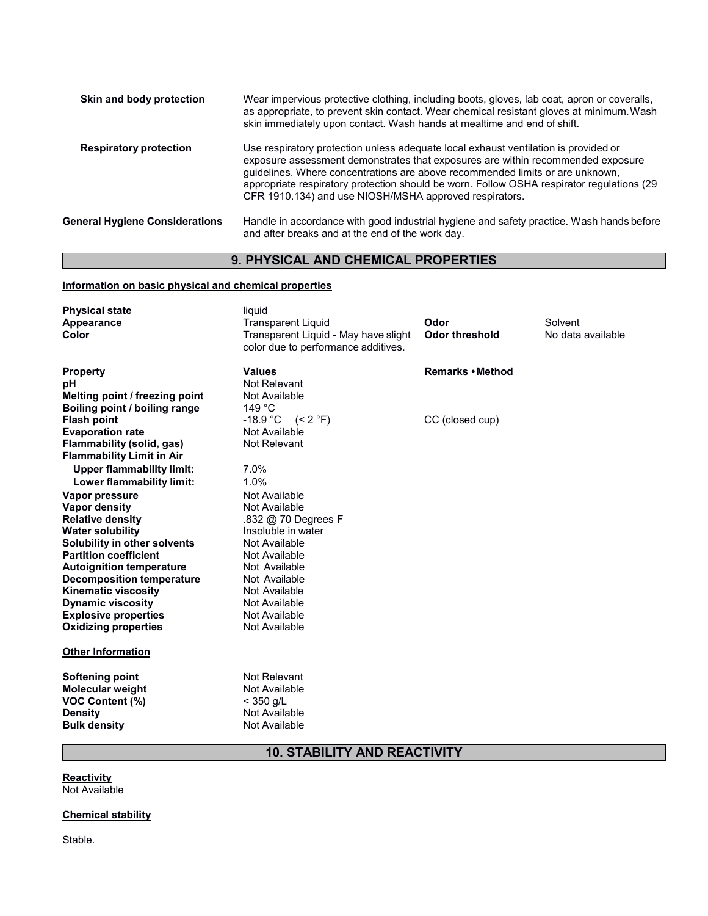| Skin and body protection              | Wear impervious protective clothing, including boots, gloves, lab coat, apron or coveralls,<br>as appropriate, to prevent skin contact. Wear chemical resistant gloves at minimum. Wash<br>skin immediately upon contact. Wash hands at mealtime and end of shift.                                                                                                                                             |
|---------------------------------------|----------------------------------------------------------------------------------------------------------------------------------------------------------------------------------------------------------------------------------------------------------------------------------------------------------------------------------------------------------------------------------------------------------------|
| <b>Respiratory protection</b>         | Use respiratory protection unless adequate local exhaust ventilation is provided or<br>exposure assessment demonstrates that exposures are within recommended exposure<br>guidelines. Where concentrations are above recommended limits or are unknown,<br>appropriate respiratory protection should be worn. Follow OSHA respirator regulations (29<br>CFR 1910.134) and use NIOSH/MSHA approved respirators. |
| <b>General Hygiene Considerations</b> | Handle in accordance with good industrial hygiene and safety practice. Wash hands before<br>and after breaks and at the end of the work day.                                                                                                                                                                                                                                                                   |

# **9. PHYSICAL AND CHEMICAL PROPERTIES**

# **Information on basic physical and chemical properties**

| <b>Physical state</b><br>Appearance<br>Color                    | liquid<br><b>Transparent Liquid</b><br>Transparent Liquid - May have slight<br>color due to performance additives. | Odor<br>Odor threshold | Solvent<br>No data available |
|-----------------------------------------------------------------|--------------------------------------------------------------------------------------------------------------------|------------------------|------------------------------|
| <b>Property</b>                                                 | <b>Values</b><br>Not Relevant                                                                                      | Remarks • Method       |                              |
| pН                                                              | Not Available                                                                                                      |                        |                              |
| Melting point / freezing point<br>Boiling point / boiling range | 149 °C                                                                                                             |                        |                              |
| <b>Flash point</b>                                              | $-18.9 °C$ (< 2 °F)                                                                                                | CC (closed cup)        |                              |
| <b>Evaporation rate</b>                                         | Not Available                                                                                                      |                        |                              |
| Flammability (solid, gas)                                       | Not Relevant                                                                                                       |                        |                              |
| <b>Flammability Limit in Air</b>                                |                                                                                                                    |                        |                              |
| <b>Upper flammability limit:</b>                                | 7.0%                                                                                                               |                        |                              |
| Lower flammability limit:                                       | 1.0%                                                                                                               |                        |                              |
| Vapor pressure                                                  | Not Available                                                                                                      |                        |                              |
| <b>Vapor density</b>                                            | Not Available                                                                                                      |                        |                              |
| <b>Relative density</b>                                         | .832 @ 70 Degrees F                                                                                                |                        |                              |
| <b>Water solubility</b>                                         | Insoluble in water                                                                                                 |                        |                              |
| Solubility in other solvents                                    | Not Available                                                                                                      |                        |                              |
| <b>Partition coefficient</b>                                    | Not Available                                                                                                      |                        |                              |
| <b>Autoignition temperature</b>                                 | Not Available                                                                                                      |                        |                              |
| <b>Decomposition temperature</b>                                | Not Available                                                                                                      |                        |                              |
| <b>Kinematic viscosity</b>                                      | Not Available                                                                                                      |                        |                              |
| <b>Dynamic viscosity</b><br><b>Explosive properties</b>         | Not Available<br>Not Available                                                                                     |                        |                              |
| <b>Oxidizing properties</b>                                     | Not Available                                                                                                      |                        |                              |
|                                                                 |                                                                                                                    |                        |                              |
| <b>Other Information</b>                                        |                                                                                                                    |                        |                              |
| <b>Softening point</b>                                          | Not Relevant                                                                                                       |                        |                              |
| <b>Molecular weight</b>                                         | Not Available                                                                                                      |                        |                              |
| <b>VOC Content (%)</b>                                          | $<$ 350 g/L                                                                                                        |                        |                              |
| <b>Density</b>                                                  | Not Available                                                                                                      |                        |                              |
| <b>Bulk density</b>                                             | Not Available                                                                                                      |                        |                              |

# **10. STABILITY AND REACTIVITY**

**Reactivity** 

Not Available

# **Chemical stability**

Stable.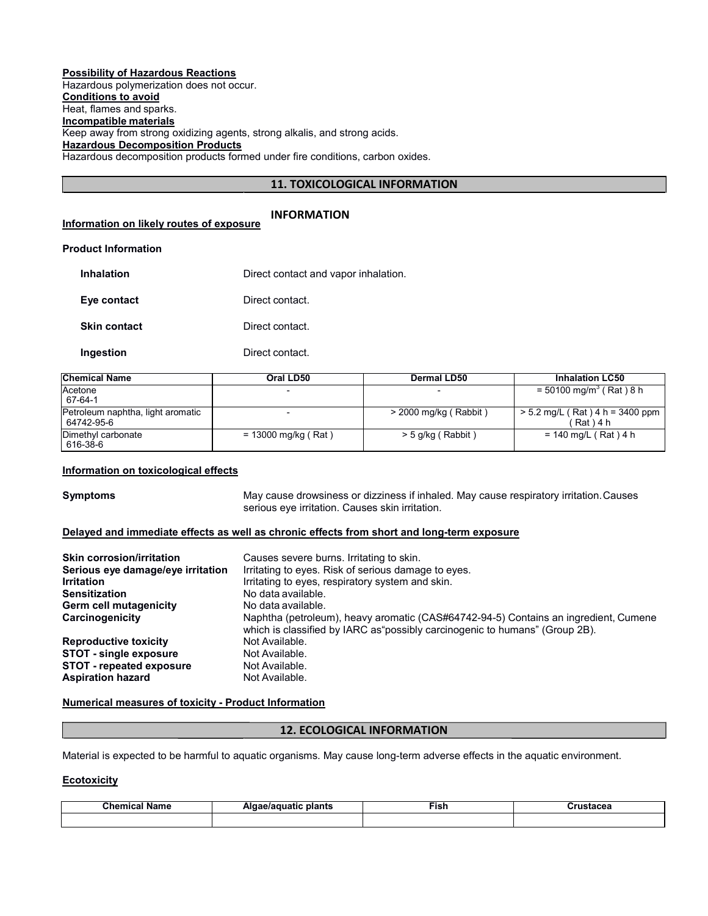#### **Possibility of Hazardous Reactions**

Hazardous polymerization does not occur. **Conditions to avoid** Heat, flames and sparks. **Incompatible materials** Keep away from strong oxidizing agents, strong alkalis, and strong acids. **Hazardous Decomposition Products** Hazardous decomposition products formed under fire conditions, carbon oxides.

# **11. TOXICOLOGICAL INFORMATION**

|                                          | <b>INFORMATION</b> |
|------------------------------------------|--------------------|
| Information on likely routes of exposure |                    |

#### **Product Information**

| <b>Inhalation</b>   | Direct contact and vapor inhalation. |
|---------------------|--------------------------------------|
| Eye contact         | Direct contact.                      |
| <b>Skin contact</b> | Direct contact.                      |
| Ingestion           | Direct contact.                      |

| <b>Chemical Name</b>                            | Oral LD50             | Dermal LD50             | <b>Inhalation LC50</b>                        |
|-------------------------------------------------|-----------------------|-------------------------|-----------------------------------------------|
| Acetone<br>67-64-1                              |                       |                         | $= 50100$ mg/m <sup>3</sup> (Rat) 8 h         |
| Petroleum naphtha, light aromatic<br>64742-95-6 |                       | $>$ 2000 mg/kg (Rabbit) | $> 5.2$ mg/L (Rat) 4 h = 3400 ppm<br>'Rat)4 h |
| Dimethyl carbonate<br>616-38-6                  | $= 13000$ mg/kg (Rat) | $>$ 5 g/kg (Rabbit)     | = 140 mg/L ( Rat ) 4 h                        |

#### **Information on toxicological effects**

**Symptoms** May cause drowsiness or dizziness if inhaled. May cause respiratory irritation.Causes serious eye irritation. Causes skin irritation.

#### **Delayed and immediate effects as well as chronic effects from short and long-term exposure**

| <b>Skin corrosion/irritation</b><br>Serious eye damage/eye irritation<br><b>Irritation</b> | Causes severe burns. Irritating to skin.<br>Irritating to eyes. Risk of serious damage to eyes.<br>Irritating to eyes, respiratory system and skin.                |
|--------------------------------------------------------------------------------------------|--------------------------------------------------------------------------------------------------------------------------------------------------------------------|
| <b>Sensitization</b>                                                                       | No data available.                                                                                                                                                 |
| <b>Germ cell mutagenicity</b>                                                              | No data available.                                                                                                                                                 |
| Carcinogenicity                                                                            | Naphtha (petroleum), heavy aromatic (CAS#64742-94-5) Contains an ingredient, Cumene<br>which is classified by IARC as possibly carcinogenic to humans" (Group 2B). |
| <b>Reproductive toxicity</b>                                                               | Not Available.                                                                                                                                                     |
| <b>STOT - single exposure</b>                                                              | Not Available.                                                                                                                                                     |
| <b>STOT - repeated exposure</b>                                                            | Not Available.                                                                                                                                                     |
| <b>Aspiration hazard</b>                                                                   | Not Available.                                                                                                                                                     |

#### **Numerical measures of toxicity - Product Information**

#### **12. ECOLOGICAL INFORMATION**

Material is expected to be harmful to aquatic organisms. May cause long-term adverse effects in the aquatic environment.

#### **Ecotoxicity**

| Chemical<br>Name | plants<br>Aldae/aduatic |  | - - - - - -<br><br>⊶ua∪ca |
|------------------|-------------------------|--|---------------------------|
|                  |                         |  |                           |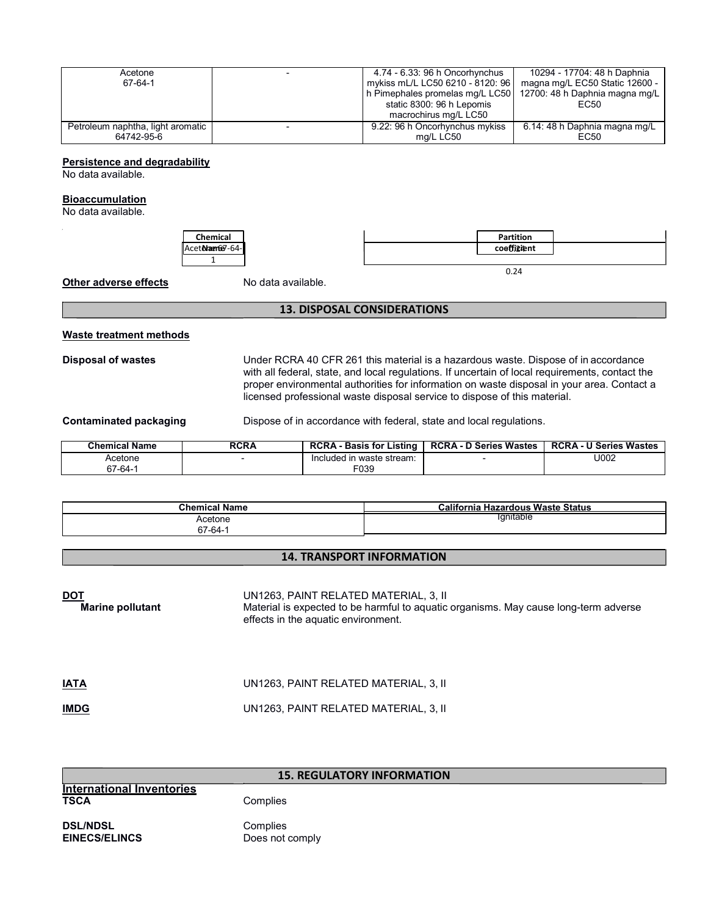| Acetone<br>67-64-1                              | 4.74 - 6.33: 96 h Oncorhynchus<br>mykiss mL/L LC50 6210 - 8120: 96<br>h Pimephales promelas mg/L LC50<br>static 8300: 96 h Lepomis | 10294 - 17704: 48 h Daphnia<br>magna mg/L EC50 Static 12600 -<br>12700: 48 h Daphnia magna mg/L<br>EC50 |
|-------------------------------------------------|------------------------------------------------------------------------------------------------------------------------------------|---------------------------------------------------------------------------------------------------------|
|                                                 | macrochirus mg/L LC50                                                                                                              |                                                                                                         |
| Petroleum naphtha, light aromatic<br>64742-95-6 | 9.22: 96 h Oncorhynchus mykiss<br>mg/L LC50                                                                                        | 6.14: 48 h Daphnia magna mg/L<br>EC50                                                                   |

**Persistence and degradability**

No data available.

#### **Bioaccumulation**

No data available.



| Partition<br>coeffigient |  |
|--------------------------|--|
|                          |  |

**Other adverse effects** No data available.

#### **13. DISPOSAL CONSIDERATIONS**

#### **Waste treatment methods**

**Disposal of wastes** Under RCRA 40 CFR 261 this material is a hazardous waste. Dispose of in accordance with all federal, state, and local regulations. If uncertain of local requirements, contact the proper environmental authorities for information on waste disposal in your area. Contact a licensed professional waste disposal service to dispose of this material.

**Contaminated packaging <b>Dispose** of in accordance with federal, state and local regulations.

| Chemical Name | RCRA | <b>RCRA - Basis for Listing</b> | <b>RCRA - D Series Wastes</b> | <b>RCRA - U Series Wastes</b> |
|---------------|------|---------------------------------|-------------------------------|-------------------------------|
| Acetone       |      | Included in waste stream:       |                               | U002                          |
| 67-64-1       |      | F039                            |                               |                               |

| <b>Chemical Name</b> | California<br><b>Hazardous Waste Status</b> |
|----------------------|---------------------------------------------|
| Acetone              | lanitable                                   |
| 67-64-1              |                                             |

### **14. TRANSPORT INFORMATION**

| <b>DOT</b><br><b>Marine pollutant</b> | UN1263, PAINT RELATED MATERIAL, 3, II<br>Material is expected to be harmful to aquatic organisms. May cause long-term adverse<br>effects in the aquatic environment. |
|---------------------------------------|----------------------------------------------------------------------------------------------------------------------------------------------------------------------|
| <b>IATA</b>                           | UN1263, PAINT RELATED MATERIAL, 3, II                                                                                                                                |
| <b>IMDG</b>                           | UN1263, PAINT RELATED MATERIAL, 3, II                                                                                                                                |

|                                                 | <b>15. REGULATORY INFORMATION</b> |
|-------------------------------------------------|-----------------------------------|
| <b>International Inventories</b><br><b>TSCA</b> | Complies                          |
| <b>DSL/NDSL</b><br><b>EINECS/ELINCS</b>         | Complies<br>Does not comply       |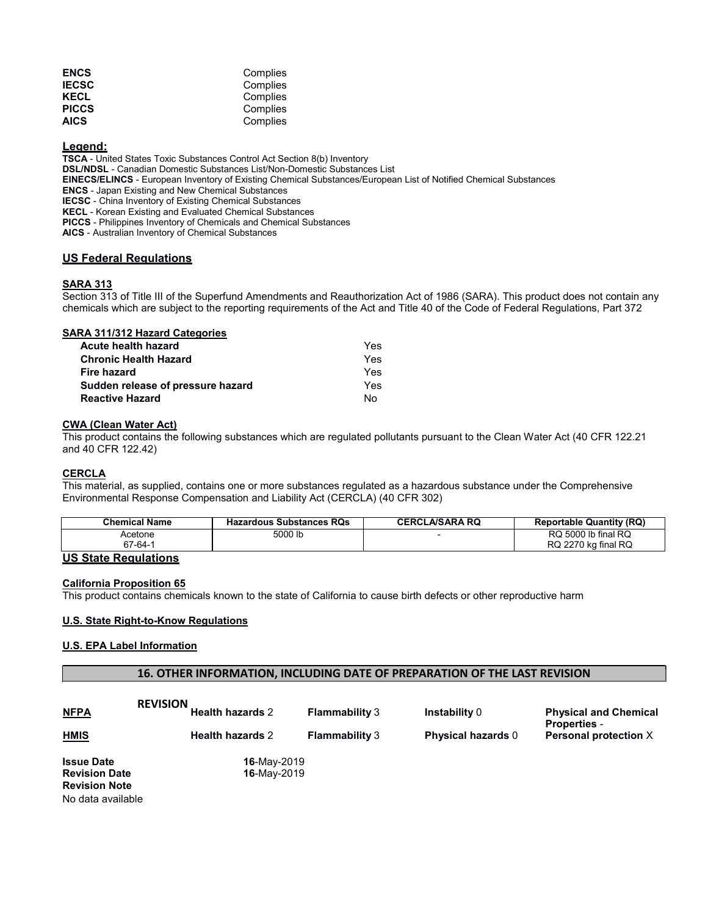| <b>ENCS</b>  | Complies |
|--------------|----------|
| <b>IECSC</b> | Complies |
| KECL         | Complies |
| <b>PICCS</b> | Complies |
| AICS         | Complies |

### **Legend:**

**TSCA** - United States Toxic Substances Control Act Section 8(b) Inventory **DSL/NDSL** - Canadian Domestic Substances List/Non-Domestic Substances List **EINECS/ELINCS** - European Inventory of Existing Chemical Substances/European List of Notified Chemical Substances **ENCS** - Japan Existing and New Chemical Substances **IECSC** - China Inventory of Existing Chemical Substances **KECL** - Korean Existing and Evaluated Chemical Substances **PICCS** - Philippines Inventory of Chemicals and Chemical Substances **AICS** - Australian Inventory of Chemical Substances

#### **US Federal Regulations**

#### **SARA 313**

Section 313 of Title III of the Superfund Amendments and Reauthorization Act of 1986 (SARA). This product does not contain any chemicals which are subject to the reporting requirements of the Act and Title 40 of the Code of Federal Regulations, Part 372

#### **SARA 311/312 Hazard Categories**

| <b>Acute health hazard</b>        | Yes |
|-----------------------------------|-----|
| <b>Chronic Health Hazard</b>      | Yes |
| Fire hazard                       | Yes |
| Sudden release of pressure hazard | Yes |
| <b>Reactive Hazard</b>            | N٥  |

#### **CWA (Clean Water Act)**

This product contains the following substances which are regulated pollutants pursuant to the Clean Water Act (40 CFR 122.21 and 40 CFR 122.42)

#### **CERCLA**

This material, as supplied, contains one or more substances regulated as a hazardous substance under the Comprehensive Environmental Response Compensation and Liability Act (CERCLA) (40 CFR 302)

| <b>Chemical Name</b> | <b>Hazardous Substances RQs</b> | <b>CERCLA/SARA RQ</b> | <b>Reportable Quantity (RQ)</b>            |
|----------------------|---------------------------------|-----------------------|--------------------------------------------|
| Acetone<br>67-64-1   | 5000 lb                         |                       | RQ 5000 lb final RQ<br>RQ 2270 kg final RQ |

# **US State Regulations**

#### **California Proposition 65**

This product contains chemicals known to the state of California to cause birth defects or other reproductive harm

#### **U.S. State Right-to-Know Regulations**

#### **U.S. EPA Label Information**

#### **16. OTHER INFORMATION, INCLUDING DATE OF PREPARATION OF THE LAST REVISION**

| <b>NFPA</b>                                                       | <b>REVISION</b><br><b>Health hazards 2</b> | <b>Flammability 3</b> | <b>Instability 0</b>      | <b>Physical and Chemical</b><br><b>Properties -</b> |
|-------------------------------------------------------------------|--------------------------------------------|-----------------------|---------------------------|-----------------------------------------------------|
| <b>HMIS</b>                                                       | <b>Health hazards 2</b>                    | <b>Flammability 3</b> | <b>Physical hazards 0</b> | Personal protection X                               |
| <b>Issue Date</b><br><b>Revision Date</b><br><b>Revision Note</b> | <b>16-May-2019</b><br><b>16-May-2019</b>   |                       |                           |                                                     |

No data available